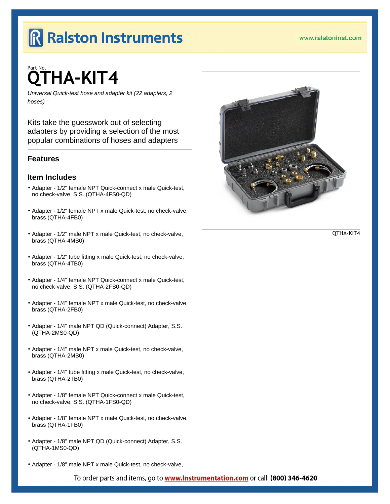# Part No. QTHA-KIT4

Universal Quick-test hose and adapter kit (22 adapters, 2 hoses)

Kits take the guesswork out of selecting adapters by providing a selection of the most popular combinations of hoses and adapters

## **Features**

### Item Includes

- º Adapter 1/2" female NPT Quick-connect x male Quick-test, no check-valve, S.S. (QTHA-4FS0-QD)
- º Adapter 1/2" female NPT x male Quick-test, no check-valve, brass (QTHA-4FB0)
- º Adapter 1/2" male NPT x male Quick-test, no check-valve, brass (QTHA-4MB0)
- º Adapter 1/2" tube fitting x male Quick-test, no check-valve, brass (QTHA-4TB0)
- º Adapter 1/4" female NPT Quick-connect x male Quick-test, no check-valve, S.S. (QTHA-2FS0-QD)
- º Adapter 1/4" female NPT x male Quick-test, no check-valve, brass (QTHA-2FB0)
- º Adapter 1/4" male NPT QD (Quick-connect) Adapter, S.S. (QTHA-2MS0-QD)
- º Adapter 1/4" male NPT x male Quick-test, no check-valve, brass (QTHA-2MB0)
- º Adapter 1/4" tube fitting x male Quick-test, no check-valve, brass (QTHA-2TB0)
- º Adapter 1/8" female NPT Quick-connect x male Quick-test, no check-valve, S.S. (QTHA-1FS0-QD)
- º Adapter 1/8" female NPT x male Quick-test, no check-valve, brass (QTHA-1FB0)
- º Adapter 1/8" male NPT QD (Quick-connect) Adapter, S.S. (QTHA-1MS0-QD)
- º Adapter 1/8" male NPT x male Quick-test, no check-valve,

To order parts and items, go to www.lnstrumentation.com or call (800) 346-4620

[QTHA-KIT4](http://www.ralstoninst.com/goto/QTHA-KIT4)